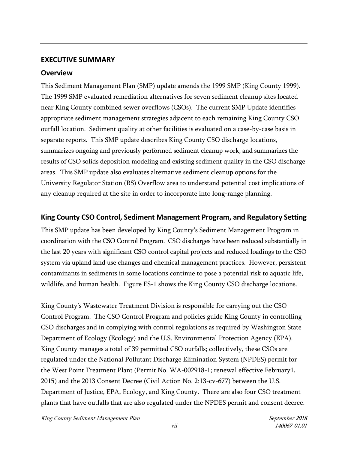## **EXECUTIVE SUMMARY**

## **Overview**

This Sediment Management Plan (SMP) update amends the 1999 SMP (King County 1999). The 1999 SMP evaluated remediation alternatives for seven sediment cleanup sites located near King County combined sewer overflows (CSOs). The current SMP Update identifies appropriate sediment management strategies adjacent to each remaining King County CSO outfall location. Sediment quality at other facilities is evaluated on a case-by-case basis in separate reports. This SMP update describes King County CSO discharge locations, summarizes ongoing and previously performed sediment cleanup work, and summarizes the results of CSO solids deposition modeling and existing sediment quality in the CSO discharge areas. This SMP update also evaluates alternative sediment cleanup options for the University Regulator Station (RS) Overflow area to understand potential cost implications of any cleanup required at the site in order to incorporate into long-range planning.

## **King County CSO Control, Sediment Management Program, and Regulatory Setting**

This SMP update has been developed by King County's Sediment Management Program in coordination with the CSO Control Program. CSO discharges have been reduced substantially in the last 20 years with significant CSO control capital projects and reduced loadings to the CSO system via upland land use changes and chemical management practices. However, persistent contaminants in sediments in some locations continue to pose a potential risk to aquatic life, wildlife, and human health. Figure ES-1 shows the King County CSO discharge locations.

King County's Wastewater Treatment Division is responsible for carrying out the CSO Control Program. The CSO Control Program and policies guide King County in controlling CSO discharges and in complying with control regulations as required by Washington State Department of Ecology (Ecology) and the U.S. Environmental Protection Agency (EPA). King County manages a total of 39 permitted CSO outfalls; collectively, these CSOs are regulated under the National Pollutant Discharge Elimination System (NPDES) permit for the West Point Treatment Plant (Permit No. WA-002918-1; renewal effective February1, 2015) and the 2013 Consent Decree (Civil Action No. 2:13-cv-677) between the U.S. Department of Justice, EPA, Ecology, and King County. There are also four CSO treatment plants that have outfalls that are also regulated under the NPDES permit and consent decree.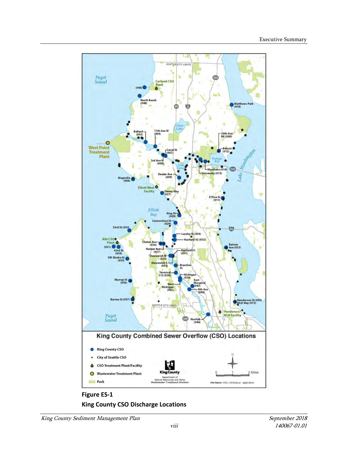

**Figure ES-1 King County CSO Discharge Locations**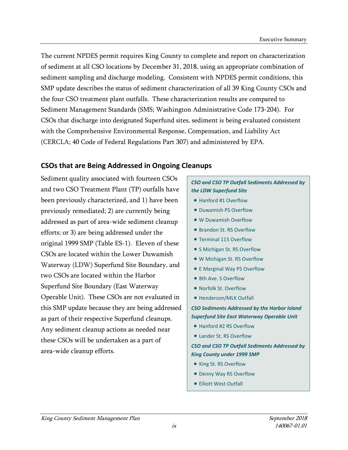The current NPDES permit requires King County to complete and report on characterization of sediment at all CSO locations by December 31, 2018, using an appropriate combination of sediment sampling and discharge modeling. Consistent with NPDES permit conditions, this SMP update describes the status of sediment characterization of all 39 King County CSOs and the four CSO treatment plant outfalls. These characterization results are compared to Sediment Management Standards (SMS; Washington Administrative Code 173-204). For CSOs that discharge into designated Superfund sites, sediment is being evaluated consistent with the Comprehensive Environmental Response, Compensation, and Liability Act (CERCLA; 40 Code of Federal Regulations Part 307) and administered by EPA.

## **CSOs that are Being Addressed in Ongoing Cleanups**

Sediment quality associated with fourteen CSOs and two CSO Treatment Plant (TP) outfalls have been previously characterized, and 1) have been previously remediated; 2) are currently being addressed as part of area-wide sediment cleanup efforts; or 3) are being addressed under the original 1999 SMP (Table ES-1). Eleven of these CSOs are located within the Lower Duwamish Waterway (LDW) Superfund Site Boundary, and two CSOs are located within the Harbor Superfund Site Boundary (East Waterway Operable Unit). These CSOs are not evaluated in this SMP update because they are being addressed as part of their respective Superfund cleanups. Any sediment cleanup actions as needed near these CSOs will be undertaken as a part of area-wide cleanup efforts.

### *CSO and CSO TP Outfall Sediments Addressed by the LDW Superfund Site*

- Hanford #1 Overflow
- Duwamish PS Overflow
- W Duwamish Overflow
- Brandon St. RS Overflow
- Terminal 115 Overflow
- S Michigan St. RS Overflow
- W Michigan St. RS Overflow
- E Marginal Way PS Overflow
- 8th Ave. S Overflow
- Norfolk St. Overflow
- Henderson/MLK Outfall

*CSO Sediments Addressed by the Harbor Island Superfund Site East Waterway Operable Unit*

- Hanford #2 RS Overflow
- Lander St. RS Overflow

*CSO and CSO TP Outfall Sediments Addressed by King County under 1999 SMP*

- King St. RS Overflow
- Denny Way RS Overflow
- Elliott West Outfall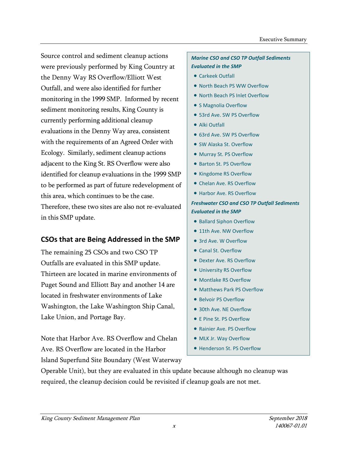Source control and sediment cleanup actions were previously performed by King Country at the Denny Way RS Overflow/Elliott West Outfall, and were also identified for further monitoring in the 1999 SMP. Informed by recent sediment monitoring results, King County is currently performing additional cleanup evaluations in the Denny Way area, consistent with the requirements of an Agreed Order with Ecology. Similarly, sediment cleanup actions adjacent to the King St. RS Overflow were also identified for cleanup evaluations in the 1999 SMP to be performed as part of future redevelopment of this area, which continues to be the case. Therefore, these two sites are also not re-evaluated in this SMP update.

# **CSOs that are Being Addressed in the SMP**

The remaining 25 CSOs and two CSO TP Outfalls are evaluated in this SMP update. Thirteen are located in marine environments of Puget Sound and Elliott Bay and another 14 are located in freshwater environments of Lake Washington, the Lake Washington Ship Canal, Lake Union, and Portage Bay.

Note that Harbor Ave. RS Overflow and Chelan Ave. RS Overflow are located in the Harbor Island Superfund Site Boundary (West Waterway

### *Marine CSO and CSO TP Outfall Sediments Evaluated in the SMP*

- Carkeek Outfall
- North Beach PS WW Overflow
- North Beach PS Inlet Overflow
- S Magnolia Overflow
- 53rd Ave. SW PS Overflow
- Alki Outfall
- 63rd Ave. SW PS Overflow
- SW Alaska St. Overflow
- Murray St. PS Overflow
- Barton St. PS Overflow
- Kingdome RS Overflow
- Chelan Ave. RS Overflow
- Harbor Ave. RS Overflow

#### *Freshwater CSO and CSO TP Outfall Sediments Evaluated in the SMP*

- Ballard Siphon Overflow
- 11th Ave. NW Overflow
- 3rd Ave. W Overflow
- Canal St. Overflow
- Dexter Ave. RS Overflow
- University RS Overflow
- Montlake RS Overflow
- Matthews Park PS Overflow
- Belvoir PS Overflow
- 30th Ave. NE Overflow
- E Pine St. PS Overflow
- Rainier Ave. PS Overflow
- MLK Jr. Way Overflow
- Henderson St. PS Overflow

Operable Unit), but they are evaluated in this update because although no cleanup was required, the cleanup decision could be revisited if cleanup goals are not met.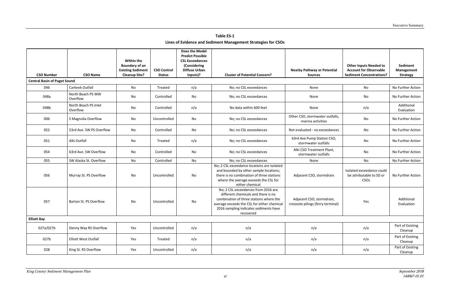## **Table ES-1**

### **Lines of Evidence and Sediment Management Strategies for CSOs**

| <b>CSO Number</b>                   | <b>CSO Name</b>                  | <b>Within the</b><br>Boundary of an<br><b>Existing Sediment</b><br><b>Cleanup Site?</b> | <b>CSO Control</b><br><b>Status</b> | <b>Does the Model</b><br><b>Predict Possible</b><br><b>CSL Exceedances</b><br>(Considering<br><b>Diffuse Urban</b><br>Inputs)? | <b>Cluster of Potential Concern?</b>                                                                                                                                                                                        | <b>Nearby Pathway or Potential</b><br><b>Sources</b>           | <b>Other Inputs Needed to</b><br><b>Account for Observable</b><br><b>Sediment Concentrations?</b> | Sediment<br>Management<br><b>Strategy</b> |
|-------------------------------------|----------------------------------|-----------------------------------------------------------------------------------------|-------------------------------------|--------------------------------------------------------------------------------------------------------------------------------|-----------------------------------------------------------------------------------------------------------------------------------------------------------------------------------------------------------------------------|----------------------------------------------------------------|---------------------------------------------------------------------------------------------------|-------------------------------------------|
| <b>Central Basin of Puget Sound</b> |                                  |                                                                                         |                                     |                                                                                                                                |                                                                                                                                                                                                                             |                                                                |                                                                                                   |                                           |
| 046                                 | Carkeek Outfall                  | No                                                                                      | Treated                             | n/a                                                                                                                            | No; no CSL exceedances                                                                                                                                                                                                      | None                                                           | No                                                                                                | No Further Action                         |
| 048a                                | North Beach PS WW<br>Overflow    | No                                                                                      | Controlled                          | No                                                                                                                             | No; no CSL exceedances                                                                                                                                                                                                      | None                                                           | No                                                                                                | No Further Action                         |
| 048b                                | North Beach PS Inlet<br>Overflow | No                                                                                      | Controlled                          | n/a                                                                                                                            | No data within 600 feet                                                                                                                                                                                                     | None                                                           | n/a                                                                                               | Additional<br>Evaluation                  |
| 006                                 | S Magnolia Overflow              | No                                                                                      | Uncontrolled                        | No                                                                                                                             | No; no CSL exceedances                                                                                                                                                                                                      | Other CSO, stormwater outfalls,<br>marina activities           | No                                                                                                | No Further Action                         |
| 052                                 | 53rd Ave. SW PS Overflow         | No                                                                                      | Controlled                          | No                                                                                                                             | No; no CSL exceedances                                                                                                                                                                                                      | Not evaluated - no exceedances                                 | No                                                                                                | No Further Action                         |
| 051                                 | Alki Outfall                     | No                                                                                      | Treated                             | n/a                                                                                                                            | No; no CSL exceedances                                                                                                                                                                                                      | 63rd Ave Pump Station CSO,<br>stormwater outfalls              | No                                                                                                | No Further Action                         |
| 054                                 | 63rd Ave. SW Overflow            | No                                                                                      | Controlled                          | No                                                                                                                             | No; no CSL exceedances                                                                                                                                                                                                      | Alki CSO Treatment Plant,<br>stormwater outfalls               | No                                                                                                | No Further Action                         |
| 055                                 | SW Alaska St. Overflow           | No                                                                                      | Controlled                          | No                                                                                                                             | No; no CSL exceedances                                                                                                                                                                                                      | None                                                           | No                                                                                                | No Further Action                         |
| 056                                 | Murray St. PS Overflow           | No                                                                                      | Uncontrolled                        | No                                                                                                                             | No; 2 CSL exceedance locations are isolated<br>and bounded by other sample locations;<br>there is no combination of three stations<br>where the average exceeds the CSL for<br>either chemical                              | Adjacent CSO, stormdrain                                       | Isolated exceedance could<br>be attributable to SD or<br>CSO <sub>s</sub>                         | No Further Action                         |
| 057                                 | Barton St. PS Overflow           | No                                                                                      | Uncontrolled                        | No                                                                                                                             | No; 2 CSL exceedances from 2016 are<br>different chemicals and there is no<br>combination of three stations where the<br>average exceeds the CSL for either chemical<br>2016 sampling indicates sediments have<br>recovered | Adjacent CSO, stormdrain,<br>creosote pilings (ferry terminal) | Yes                                                                                               | Additional<br>Evaluation                  |
| <b>Elliott Bay</b>                  |                                  |                                                                                         |                                     |                                                                                                                                |                                                                                                                                                                                                                             |                                                                |                                                                                                   |                                           |
| 027a/027b                           | Denny Way RS Overflow            | Yes                                                                                     | Uncontrolled                        | n/a                                                                                                                            | n/a                                                                                                                                                                                                                         | n/a                                                            | n/a                                                                                               | Part of Existing<br>Cleanup               |
| 027b                                | <b>Elliott West Outfall</b>      | Yes                                                                                     | Treated                             | n/a                                                                                                                            | n/a                                                                                                                                                                                                                         | n/a                                                            | n/a                                                                                               | Part of Existing<br>Cleanup               |
| 028                                 | King St. RS Overflow             | Yes                                                                                     | Uncontrolled                        | n/a                                                                                                                            | n/a                                                                                                                                                                                                                         | n/a                                                            | n/a                                                                                               | Part of Existing<br>Cleanup               |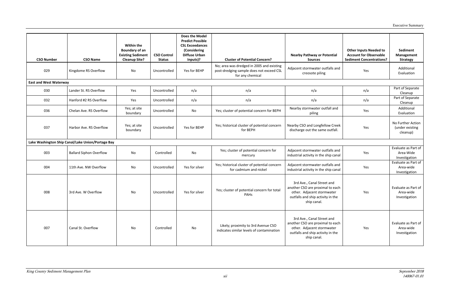| <b>CSO Number</b>             | <b>CSO Name</b>                                   | <b>Within the</b><br><b>Boundary of an</b><br><b>Existing Sediment</b><br><b>Cleanup Site?</b> | <b>CSO Control</b><br><b>Status</b> | <b>Does the Model</b><br><b>Predict Possible</b><br><b>CSL Exceedances</b><br>(Considering<br><b>Diffuse Urban</b><br>Inputs)? | <b>Cluster of Potential Concern?</b>                                                                      | <b>Nearby Pathway or Potential</b><br><b>Sources</b>                                                                                             | <b>Other Inputs Needed to</b><br><b>Account for Observable</b><br><b>Sediment Concentrations?</b> | Sediment<br>Management<br><b>Strategy</b>         |
|-------------------------------|---------------------------------------------------|------------------------------------------------------------------------------------------------|-------------------------------------|--------------------------------------------------------------------------------------------------------------------------------|-----------------------------------------------------------------------------------------------------------|--------------------------------------------------------------------------------------------------------------------------------------------------|---------------------------------------------------------------------------------------------------|---------------------------------------------------|
| 029                           | Kingdome RS Overflow                              | No                                                                                             | Uncontrolled                        | Yes for BEHP                                                                                                                   | No; area was dredged in 2005 and existing<br>post-dredging sample does not exceed CSL<br>for any chemical | Adjacent stormwater outfalls and<br>creosote piling                                                                                              | Yes                                                                                               | Additional<br>Evaluation                          |
| <b>East and West Waterway</b> |                                                   |                                                                                                |                                     |                                                                                                                                |                                                                                                           |                                                                                                                                                  |                                                                                                   |                                                   |
| 030                           | Lander St. RS Overflow                            | Yes                                                                                            | Uncontrolled                        | n/a                                                                                                                            | n/a                                                                                                       | n/a                                                                                                                                              | n/a                                                                                               | Part of Separate<br>Cleanup                       |
| 032                           | Hanford #2 RS Overflow                            | Yes                                                                                            | Uncontrolled                        | n/a                                                                                                                            | n/a                                                                                                       | n/a                                                                                                                                              | n/a                                                                                               | Part of Separate<br>Cleanup                       |
| 036                           | Chelan Ave. RS Overflow                           | Yes; at site<br>boundary                                                                       | Uncontrolled                        | No                                                                                                                             | Yes; cluster of potential concern for BEPH                                                                | Nearby stormwater outfall and<br>piling                                                                                                          | Yes                                                                                               | Additional<br>Evaluation                          |
| 037                           | Harbor Ave. RS Overflow                           | Yes; at site<br>boundary                                                                       | Uncontrolled                        | Yes for BEHP                                                                                                                   | Yes; historical cluster of potential concern<br>for BEPH                                                  | Nearby CSO and Longfellow Creek<br>discharge out the same outfall.                                                                               | Yes                                                                                               | No Further Action<br>(under existing<br>cleanup)  |
|                               | Lake Washington Ship Canal/Lake Union/Portage Bay |                                                                                                |                                     |                                                                                                                                |                                                                                                           |                                                                                                                                                  |                                                                                                   |                                                   |
| 003                           | <b>Ballard Siphon Overflow</b>                    | No                                                                                             | Controlled                          | No                                                                                                                             | Yes; cluster of potential concern for<br>mercury                                                          | Adjacent stormwater outfalls and<br>industrial activity in the ship canal                                                                        | Yes                                                                                               | Evaluate as Part of<br>Area-Wide<br>Investigation |
| 004                           | 11th Ave. NW Overflow                             | No                                                                                             | Uncontrolled                        | Yes for silver                                                                                                                 | Yes; historical cluster of potential concern<br>for cadmium and nickel                                    | Adjacent stormwater outfalls and<br>industrial activity in the ship canal                                                                        | Yes                                                                                               | Evaluate as Part of<br>Area-wide<br>Investigation |
| 008                           | 3rd Ave. W Overflow                               | No                                                                                             | Uncontrolled                        | Yes for silver                                                                                                                 | Yes; cluster of potential concern for total<br>PAHs                                                       | 3rd Ave., Canal Street and<br>another CSO are proximal to each<br>other. Adjacent stormwater<br>outfalls and ship activity in the<br>ship canal. | Yes                                                                                               | Evaluate as Part of<br>Area-wide<br>Investigation |
| 007                           | Canal St. Overflow                                | No                                                                                             | Controlled                          | No                                                                                                                             | Likely; proximity to 3rd Avenue CSO<br>indicates similar levels of contamination                          | 3rd Ave., Canal Street and<br>another CSO are proximal to each<br>other. Adjacent stormwater<br>outfalls and ship activity in the<br>ship canal. | Yes                                                                                               | Evaluate as Part of<br>Area-wide<br>Investigation |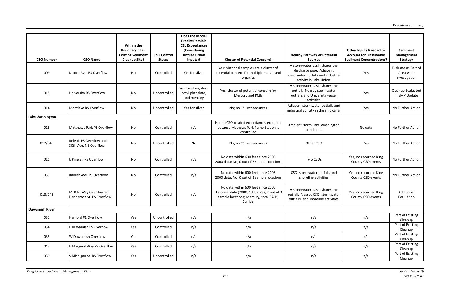| <b>CSO Number</b>     | <b>CSO Name</b>                                       | Within the<br><b>Boundary of an</b><br><b>Existing Sediment</b><br><b>Cleanup Site?</b> | <b>CSO Control</b><br><b>Status</b> | <b>Does the Model</b><br><b>Predict Possible</b><br><b>CSL Exceedances</b><br>(Considering<br><b>Diffuse Urban</b><br>Inputs)? | <b>Cluster of Potential Concern?</b>                                                                                                     | <b>Nearby Pathway or Potential</b><br><b>Sources</b>                                                                       | <b>Other Inputs Needed to</b><br><b>Account for Observable</b><br><b>Sediment Concentrations?</b> | Sediment<br><b>Management</b><br><b>Strategy</b>  |
|-----------------------|-------------------------------------------------------|-----------------------------------------------------------------------------------------|-------------------------------------|--------------------------------------------------------------------------------------------------------------------------------|------------------------------------------------------------------------------------------------------------------------------------------|----------------------------------------------------------------------------------------------------------------------------|---------------------------------------------------------------------------------------------------|---------------------------------------------------|
| 009                   | Dexter Ave. RS Overflow                               | No                                                                                      | Controlled                          | Yes for silver                                                                                                                 | Yes; historical samples are a cluster of<br>potential concern for multiple metals and<br>organics                                        | A stormwater basin shares the<br>discharge pipe. Adjacent<br>stormwater outfalls and industrial<br>activity in Lake Union. | Yes                                                                                               | Evaluate as Part of<br>Area-wide<br>Investigation |
| 015                   | University RS Overflow                                | No                                                                                      | Uncontrolled                        | Yes for silver, di-n-<br>octyl phthalate,<br>and mercury                                                                       | Yes; cluster of potential concern for<br>Mercury and PCBs                                                                                | A stormwater basin shares the<br>outfall. Nearby stormwater<br>outfalls and University vessel<br>activities.               | Yes                                                                                               | Cleanup Evaluated<br>in SMP Update                |
| 014                   | Montlake RS Overflow                                  | No                                                                                      | Uncontrolled                        | Yes for silver                                                                                                                 | No; no CSL exceedances                                                                                                                   | Adjacent stormwater outfalls and<br>industrial activity in the ship canal                                                  | Yes                                                                                               | No Further Action                                 |
| Lake Washington       |                                                       |                                                                                         |                                     |                                                                                                                                |                                                                                                                                          |                                                                                                                            |                                                                                                   |                                                   |
| 018                   | Matthews Park PS Overflow                             | No                                                                                      | Controlled                          | n/a                                                                                                                            | No; no CSO-related exceedances expected<br>because Mathews Park Pump Station is<br>controlled                                            | Ambient North Lake Washington<br>conditions                                                                                | No data                                                                                           | No Further Action                                 |
| 012/049               | Belvoir PS Overflow and<br>30th Ave. NE Overflow      | No                                                                                      | Uncontrolled                        | No                                                                                                                             | No; no CSL exceedances                                                                                                                   | Other CSO                                                                                                                  | Yes                                                                                               | No Further Action                                 |
| 011                   | E Pine St. PS Overflow                                | No                                                                                      | Controlled                          | n/a                                                                                                                            | No data within 600 feet since 2005<br>2000 data: No; 0 out of 2 sample locations                                                         | Two CSOs                                                                                                                   | Yes; no recorded King<br>County CSO events                                                        | No Further Action                                 |
| 033                   | Rainier Ave. PS Overflow                              | No                                                                                      | Controlled                          | n/a                                                                                                                            | No data within 600 feet since 2005<br>2000 data: No; 0 out of 2 sample locations                                                         | CSO, stormwater outfalls and<br>shoreline activities                                                                       | Yes; no recorded King<br>County CSO events                                                        | No Further Action                                 |
| 013/045               | MLK Jr. Way Overflow and<br>Henderson St. PS Overflow | No                                                                                      | Controlled                          | n/a                                                                                                                            | No data within 600 feet since 2005<br>Historical data (2000, 1995): Yes; 2 out of 3<br>sample locations; Mercury, total PAHs,<br>Sulfide | A stormwater basin shares the<br>outfall. Nearby CSO, stormwater<br>outfalls, and shoreline activities                     | Yes; no recorded King<br>County CSO events                                                        | Additional<br>Evaluation                          |
| <b>Duwamish River</b> |                                                       |                                                                                         |                                     |                                                                                                                                |                                                                                                                                          |                                                                                                                            |                                                                                                   |                                                   |
| 031                   | Hanford #1 Overflow                                   | Yes                                                                                     | Uncontrolled                        | n/a                                                                                                                            | n/a                                                                                                                                      | n/a                                                                                                                        | n/a                                                                                               | Part of Existing<br>Cleanup                       |
| 034                   | E Duwamish PS Overflow                                | Yes                                                                                     | Controlled                          | n/a                                                                                                                            | n/a                                                                                                                                      | n/a                                                                                                                        | n/a                                                                                               | Part of Existing<br>Cleanup                       |
| 035                   | W Duwamish Overflow                                   | Yes                                                                                     | Controlled                          | n/a                                                                                                                            | n/a                                                                                                                                      | n/a                                                                                                                        | n/a                                                                                               | Part of Existing<br>Cleanup                       |
| 043                   | E Marginal Way PS Overflow                            | Yes                                                                                     | Controlled                          | n/a                                                                                                                            | n/a                                                                                                                                      | n/a                                                                                                                        | n/a                                                                                               | Part of Existing<br>Cleanup                       |
| 039                   | S Michigan St. RS Overflow                            | Yes                                                                                     | Uncontrolled                        | n/a                                                                                                                            | n/a                                                                                                                                      | n/a                                                                                                                        | n/a                                                                                               | Part of Existing<br>Cleanup                       |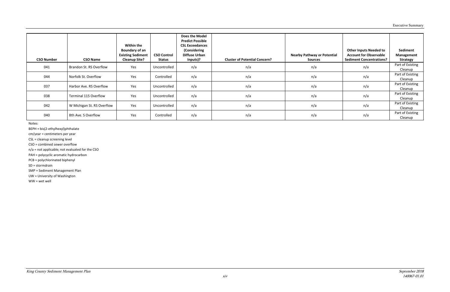| <b>CSO Number</b> | <b>CSO Name</b>              | Within the<br><b>Boundary of an</b><br><b>Existing Sediment</b><br><b>Cleanup Site?</b> | <b>CSO Control</b><br>Status | <b>Does the Model</b><br><b>Predict Possible</b><br><b>CSL Exceedances</b><br>(Considering<br><b>Diffuse Urban</b><br>Inputs)? | <b>Cluster of Potential Concern?</b> | <b>Nearby Pathway or Potential</b><br><b>Sources</b> | <b>Other Inputs Needed to</b><br><b>Account for Observable</b><br><b>Sediment Concentrations?</b> | Sediment<br>Management<br><b>Strategy</b> |
|-------------------|------------------------------|-----------------------------------------------------------------------------------------|------------------------------|--------------------------------------------------------------------------------------------------------------------------------|--------------------------------------|------------------------------------------------------|---------------------------------------------------------------------------------------------------|-------------------------------------------|
| 041               | Brandon St. RS Overflow      | Yes                                                                                     | Uncontrolled                 | n/a                                                                                                                            | n/a                                  | n/a                                                  | n/a                                                                                               | Part of Existing<br>Cleanup               |
| 044               | Norfolk St. Overflow         | Yes                                                                                     | Controlled                   | n/a                                                                                                                            | n/a                                  | n/a                                                  | n/a                                                                                               | Part of Existing<br>Cleanup               |
| 037               | Harbor Ave. RS Overflow      | Yes                                                                                     | Uncontrolled                 | n/a                                                                                                                            | n/a                                  | n/a                                                  | n/a                                                                                               | Part of Existing<br>Cleanup               |
| 038               | <b>Terminal 115 Overflow</b> | Yes                                                                                     | Uncontrolled                 | n/a                                                                                                                            | n/a                                  | n/a                                                  | n/a                                                                                               | Part of Existing<br>Cleanup               |
| 042               | W Michigan St. RS Overflow   | Yes                                                                                     | Uncontrolled                 | n/a                                                                                                                            | n/a                                  | n/a                                                  | n/a                                                                                               | Part of Existing<br>Cleanup               |
| 040               | 8th Ave. S Overflow          | Yes                                                                                     | Controlled                   | n/a                                                                                                                            | n/a                                  | n/a                                                  | n/a                                                                                               | Part of Existing<br>Cleanup               |

Notes:

BEPH = bis(2-ethylhexyl)phthalate

cm/year = centimeters per year

CSL = cleanup screening level

CSO = combined sewer overflow

n/a = not applicable; not evaluated for the CSO

PAH = polycyclic aromatic hydrocarbon

PCB = polychlorinated biphenyl

SD = stormdrain

SMP = Sediment Management Plan

UW = University of Washington

WW = wet well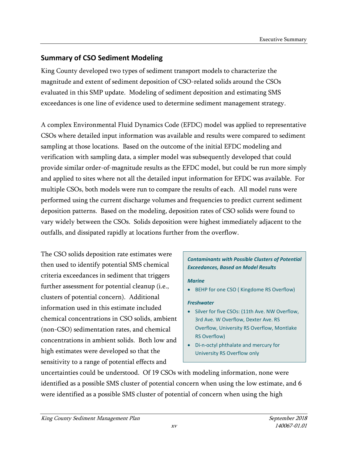## **Summary of CSO Sediment Modeling**

King County developed two types of sediment transport models to characterize the magnitude and extent of sediment deposition of CSO-related solids around the CSOs evaluated in this SMP update. Modeling of sediment deposition and estimating SMS exceedances is one line of evidence used to determine sediment management strategy.

A complex Environmental Fluid Dynamics Code (EFDC) model was applied to representative CSOs where detailed input information was available and results were compared to sediment sampling at those locations. Based on the outcome of the initial EFDC modeling and verification with sampling data, a simpler model was subsequently developed that could provide similar order-of-magnitude results as the EFDC model, but could be run more simply and applied to sites where not all the detailed input information for EFDC was available. For multiple CSOs, both models were run to compare the results of each. All model runs were performed using the current discharge volumes and frequencies to predict current sediment deposition patterns. Based on the modeling, deposition rates of CSO solids were found to vary widely between the CSOs. Solids deposition were highest immediately adjacent to the outfalls, and dissipated rapidly at locations further from the overflow.

The CSO solids deposition rate estimates were then used to identify potential SMS chemical criteria exceedances in sediment that triggers further assessment for potential cleanup (i.e., clusters of potential concern). Additional information used in this estimate included chemical concentrations in CSO solids, ambient (non-CSO) sedimentation rates, and chemical concentrations in ambient solids. Both low and high estimates were developed so that the sensitivity to a range of potential effects and

### *Contaminants with Possible Clusters of Potential Exceedances, Based on Model Results*

#### *Marine*

• BEHP for one CSO ( Kingdome RS Overflow)

#### *Freshwater*

- Silver for five CSOs: (11th Ave. NW Overflow, 3rd Ave. W Overflow, Dexter Ave. RS Overflow, University RS Overflow, Montlake RS Overflow)
- Di-n-octyl phthalate and mercury for University RS Overflow only

uncertainties could be understood. Of 19 CSOs with modeling information, none were identified as a possible SMS cluster of potential concern when using the low estimate, and 6 were identified as a possible SMS cluster of potential of concern when using the high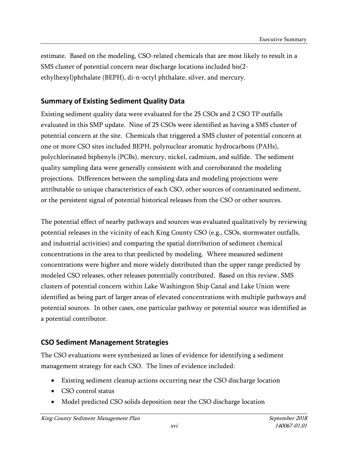estimate. Based on the modeling, CSO-related chemicals that are most likely to result in a SMS cluster of potential concern near discharge locations included bis(2 ethylhexyl)phthalate (BEPH), di-n-octyl phthalate, silver, and mercury.

## **Summary of Existing Sediment Quality Data**

Existing sediment quality data were evaluated for the 25 CSOs and 2 CSO TP outfalls evaluated in this SMP update. Nine of 25 CSOs were identified as having a SMS cluster of potential concern at the site. Chemicals that triggered a SMS cluster of potential concern at one or more CSO sites included BEPH, polynuclear aromatic hydrocarbons (PAHs), polychlorinated biphenyls (PCBs), mercury, nickel, cadmium, and sulfide. The sediment quality sampling data were generally consistent with and corroborated the modeling projections. Differences between the sampling data and modeling projections were attributable to unique characteristics of each CSO, other sources of contaminated sediment, or the persistent signal of potential historical releases from the CSO or other sources.

The potential effect of nearby pathways and sources was evaluated qualitatively by reviewing potential releases in the vicinity of each King County CSO (e.g., CSOs, stormwater outfalls, and industrial activities) and comparing the spatial distribution of sediment chemical concentrations in the area to that predicted by modeling. Where measured sediment concentrations were higher and more widely distributed than the upper range predicted by modeled CSO releases, other releases potentially contributed. Based on this review, SMS clusters of potential concern within Lake Washington Ship Canal and Lake Union were identified as being part of larger areas of elevated concentrations with multiple pathways and potential sources. In other cases, one particular pathway or potential source was identified as a potential contributor.

## **CSO Sediment Management Strategies**

The CSO evaluations were synthesized as lines of evidence for identifying a sediment management strategy for each CSO. The lines of evidence included:

- Existing sediment cleanup actions occurring near the CSO discharge location
- CSO control status
- Model predicted CSO solids deposition near the CSO discharge location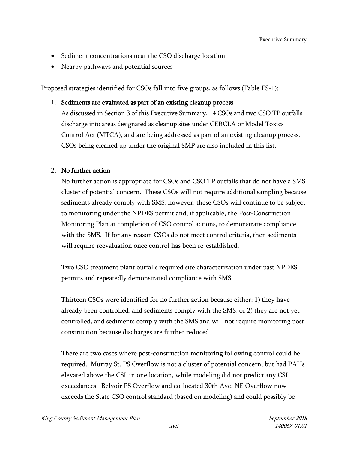- Sediment concentrations near the CSO discharge location
- Nearby pathways and potential sources

Proposed strategies identified for CSOs fall into five groups, as follows (Table ES-1):

1. Sediments are evaluated as part of an existing cleanup process

As discussed in Section 3 of this Executive Summary, 14 CSOs and two CSO TP outfalls discharge into areas designated as cleanup sites under CERCLA or Model Toxics Control Act (MTCA), and are being addressed as part of an existing cleanup process. CSOs being cleaned up under the original SMP are also included in this list.

## 2. No further action

No further action is appropriate for CSOs and CSO TP outfalls that do not have a SMS cluster of potential concern. These CSOs will not require additional sampling because sediments already comply with SMS; however, these CSOs will continue to be subject to monitoring under the NPDES permit and, if applicable, the Post-Construction Monitoring Plan at completion of CSO control actions, to demonstrate compliance with the SMS. If for any reason CSOs do not meet control criteria, then sediments will require reevaluation once control has been re-established.

Two CSO treatment plant outfalls required site characterization under past NPDES permits and repeatedly demonstrated compliance with SMS.

Thirteen CSOs were identified for no further action because either: 1) they have already been controlled, and sediments comply with the SMS; or 2) they are not yet controlled, and sediments comply with the SMS and will not require monitoring post construction because discharges are further reduced.

There are two cases where post-construction monitoring following control could be required. Murray St. PS Overflow is not a cluster of potential concern, but had PAHs elevated above the CSL in one location, while modeling did not predict any CSL exceedances. Belvoir PS Overflow and co-located 30th Ave. NE Overflow now exceeds the State CSO control standard (based on modeling) and could possibly be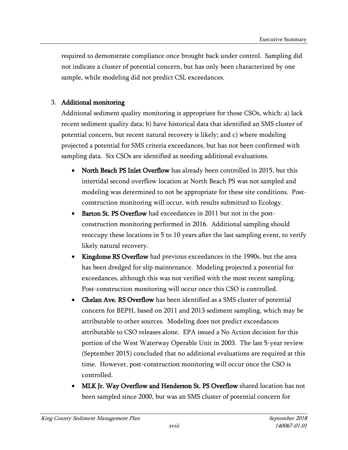required to demonstrate compliance once brought back under control. Sampling did not indicate a cluster of potential concern, but has only been characterized by one sample, while modeling did not predict CSL exceedances.

### 3. Additional monitoring

Additional sediment quality monitoring is appropriate for those CSOs, which: a) lack recent sediment quality data; b) have historical data that identified an SMS cluster of potential concern, but recent natural recovery is likely; and c) where modeling projected a potential for SMS criteria exceedances, but has not been confirmed with sampling data. Six CSOs are identified as needing additional evaluations.

- North Beach PS Inlet Overflow has already been controlled in 2015, but this intertidal second overflow location at North Beach PS was not sampled and modeling was determined to not be appropriate for these site conditions. Postconstruction monitoring will occur, with results submitted to Ecology.
- Barton St. PS Overflow had exceedances in 2011 but not in the postconstruction monitoring performed in 2016. Additional sampling should reoccupy these locations in 5 to 10 years after the last sampling event, to verify likely natural recovery.
- Kingdome RS Overflow had previous exceedances in the 1990s, but the area has been dredged for slip maintenance. Modeling projected a potential for exceedances, although this was not verified with the most recent sampling. Post-construction monitoring will occur once this CSO is controlled.
- Chelan Ave. RS Overflow has been identified as a SMS cluster of potential concern for BEPH, based on 2011 and 2013 sediment sampling, which may be attributable to other sources. Modeling does not predict exceedances attributable to CSO releases alone. EPA issued a No Action decision for this portion of the West Waterway Operable Unit in 2003. The last 5-year review (September 2015) concluded that no additional evaluations are required at this time. However, post-construction monitoring will occur once the CSO is controlled.
- MLK Jr. Way Overflow and Henderson St. PS Overflow shared location has not been sampled since 2000, but was an SMS cluster of potential concern for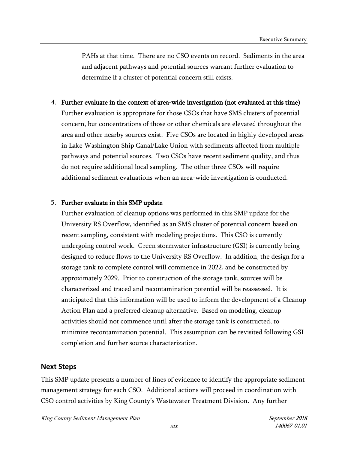PAHs at that time. There are no CSO events on record. Sediments in the area and adjacent pathways and potential sources warrant further evaluation to determine if a cluster of potential concern still exists.

4. Further evaluate in the context of area-wide investigation (not evaluated at this time) Further evaluation is appropriate for those CSOs that have SMS clusters of potential concern, but concentrations of those or other chemicals are elevated throughout the area and other nearby sources exist. Five CSOs are located in highly developed areas in Lake Washington Ship Canal/Lake Union with sediments affected from multiple pathways and potential sources. Two CSOs have recent sediment quality, and thus do not require additional local sampling. The other three CSOs will require additional sediment evaluations when an area-wide investigation is conducted.

### 5. Further evaluate in this SMP update

Further evaluation of cleanup options was performed in this SMP update for the University RS Overflow, identified as an SMS cluster of potential concern based on recent sampling, consistent with modeling projections. This CSO is currently undergoing control work. Green stormwater infrastructure (GSI) is currently being designed to reduce flows to the University RS Overflow. In addition, the design for a storage tank to complete control will commence in 2022, and be constructed by approximately 2029. Prior to construction of the storage tank, sources will be characterized and traced and recontamination potential will be reassessed. It is anticipated that this information will be used to inform the development of a Cleanup Action Plan and a preferred cleanup alternative. Based on modeling, cleanup activities should not commence until after the storage tank is constructed, to minimize recontamination potential. This assumption can be revisited following GSI completion and further source characterization.

## **Next Steps**

This SMP update presents a number of lines of evidence to identify the appropriate sediment management strategy for each CSO. Additional actions will proceed in coordination with CSO control activities by King County's Wastewater Treatment Division. Any further